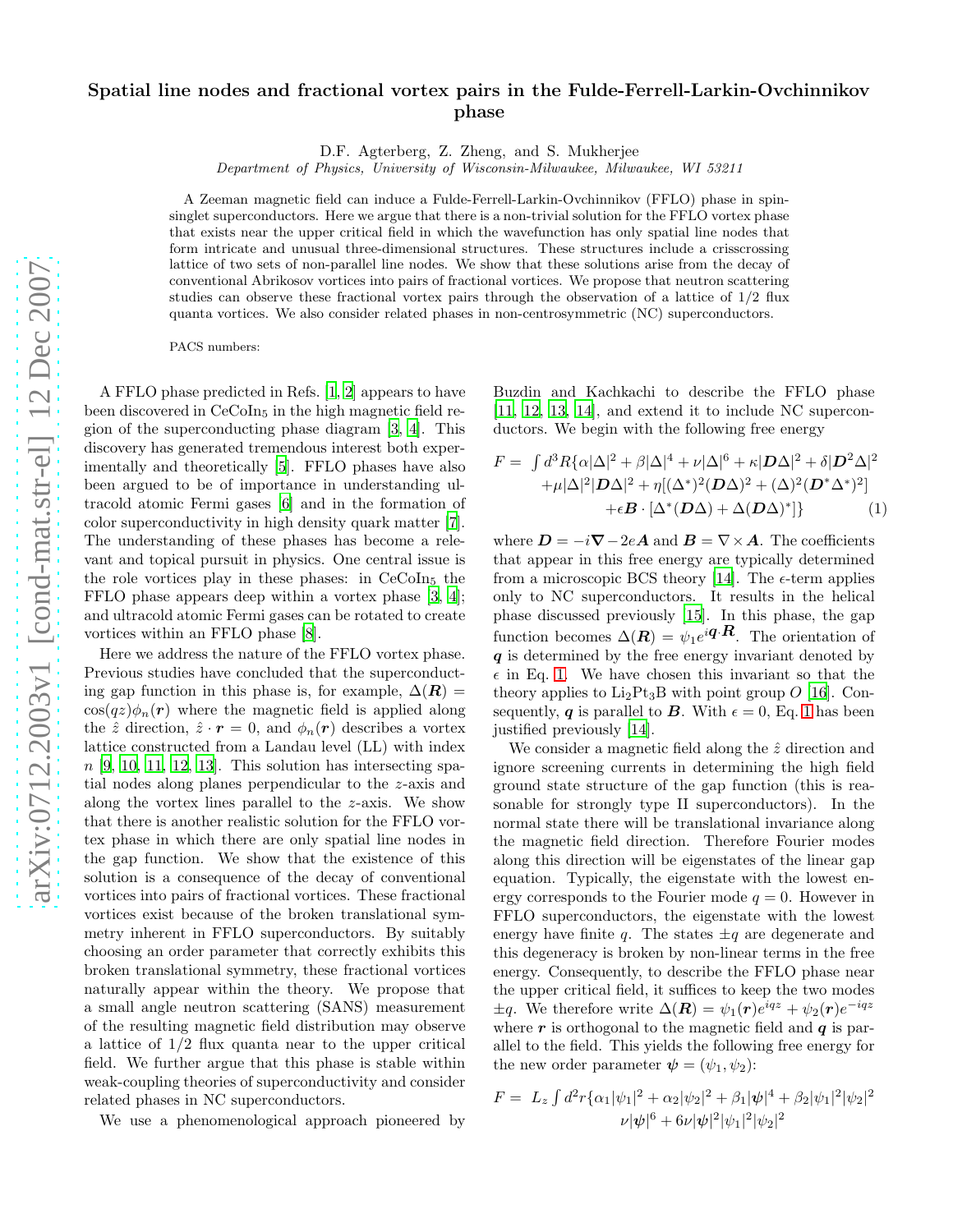## arXiv:0712.2003v1 [cond-mat.str-el] 12 Dec 2007 [arXiv:0712.2003v1 \[cond-mat.str-el\] 12 Dec 2007](http://arxiv.org/abs/0712.2003v1)

## Spatial line nodes and fractional vortex pairs in the Fulde-Ferrell-Larkin-Ovchinnikov phase

D.F. Agterberg, Z. Zheng, and S. Mukherjee

Department of Physics, University of Wisconsin-Milwaukee, Milwaukee, WI 53211

A Zeeman magnetic field can induce a Fulde-Ferrell-Larkin-Ovchinnikov (FFLO) phase in spinsinglet superconductors. Here we argue that there is a non-trivial solution for the FFLO vortex phase that exists near the upper critical field in which the wavefunction has only spatial line nodes that form intricate and unusual three-dimensional structures. These structures include a crisscrossing lattice of two sets of non-parallel line nodes. We show that these solutions arise from the decay of conventional Abrikosov vortices into pairs of fractional vortices. We propose that neutron scattering studies can observe these fractional vortex pairs through the observation of a lattice of 1/2 flux quanta vortices. We also consider related phases in non-centrosymmetric (NC) superconductors.

PACS numbers:

A FFLO phase predicted in Refs. [\[1](#page-3-0), [2\]](#page-3-1) appears to have been discovered in CeCoIn<sub>5</sub> in the high magnetic field region of the superconducting phase diagram [\[3](#page-3-2), [4\]](#page-3-3). This discovery has generated tremendous interest both experimentally and theoretically [\[5\]](#page-3-4). FFLO phases have also been argued to be of importance in understanding ultracold atomic Fermi gases [\[6](#page-3-5)] and in the formation of color superconductivity in high density quark matter [\[7\]](#page-3-6). The understanding of these phases has become a relevant and topical pursuit in physics. One central issue is the role vortices play in these phases: in  $CeCoIn<sub>5</sub>$  the FFLO phase appears deep within a vortex phase [\[3,](#page-3-2) [4\]](#page-3-3); and ultracold atomic Fermi gases can be rotated to create vortices within an FFLO phase [\[8](#page-3-7)].

Here we address the nature of the FFLO vortex phase. Previous studies have concluded that the superconducting gap function in this phase is, for example,  $\Delta(R)$  =  $\cos(qz)\phi_n(r)$  where the magnetic field is applied along the  $\hat{z}$  direction,  $\hat{z} \cdot \mathbf{r} = 0$ , and  $\phi_n(\mathbf{r})$  describes a vortex lattice constructed from a Landau level (LL) with index  $n$  [\[9](#page-3-8), [10,](#page-3-9) [11](#page-3-10), [12,](#page-3-11) [13](#page-3-12)]. This solution has intersecting spatial nodes along planes perpendicular to the z-axis and along the vortex lines parallel to the z-axis. We show that there is another realistic solution for the FFLO vortex phase in which there are only spatial line nodes in the gap function. We show that the existence of this solution is a consequence of the decay of conventional vortices into pairs of fractional vortices. These fractional vortices exist because of the broken translational symmetry inherent in FFLO superconductors. By suitably choosing an order parameter that correctly exhibits this broken translational symmetry, these fractional vortices naturally appear within the theory. We propose that a small angle neutron scattering (SANS) measurement of the resulting magnetic field distribution may observe a lattice of  $1/2$  flux quanta near to the upper critical field. We further argue that this phase is stable within weak-coupling theories of superconductivity and consider related phases in NC superconductors.

We use a phenomenological approach pioneered by

Buzdin and Kachkachi to describe the FFLO phase [\[11,](#page-3-10) [12,](#page-3-11) [13,](#page-3-12) [14\]](#page-3-13), and extend it to include NC superconductors. We begin with the following free energy

<span id="page-0-0"></span>
$$
F = \int d^3R \{ \alpha |\Delta|^2 + \beta |\Delta|^4 + \nu |\Delta|^6 + \kappa |D\Delta|^2 + \delta |D^2\Delta|^2
$$
  
+  $\mu |\Delta|^2 |D\Delta|^2 + \eta [(\Delta^*)^2 (D\Delta)^2 + (\Delta)^2 (D^*\Delta^*)^2]$   
+  $\epsilon B \cdot [\Delta^* (D\Delta) + \Delta (D\Delta)^*]$  (1)

where  $\mathbf{D} = -i\mathbf{\nabla} - 2e\mathbf{A}$  and  $\mathbf{B} = \nabla \times \mathbf{A}$ . The coefficients that appear in this free energy are typically determined from a microscopic BCS theory [\[14](#page-3-13)]. The  $\epsilon$ -term applies only to NC superconductors. It results in the helical phase discussed previously [\[15\]](#page-3-14). In this phase, the gap function becomes  $\Delta(\mathbf{R}) = \psi_1 e^{i \mathbf{q} \cdot \mathbf{R}}$ . The orientation of q is determined by the free energy invariant denoted by  $\epsilon$  in Eq. [1.](#page-0-0) We have chosen this invariant so that the theory applies to  $Li<sub>2</sub>Pt<sub>3</sub>B$  with point group O [\[16](#page-3-15)]. Consequently, q is parallel to B. With  $\epsilon = 0$ , Eq. [1](#page-0-0) has been justified previously [\[14\]](#page-3-13).

We consider a magnetic field along the  $\hat{z}$  direction and ignore screening currents in determining the high field ground state structure of the gap function (this is reasonable for strongly type II superconductors). In the normal state there will be translational invariance along the magnetic field direction. Therefore Fourier modes along this direction will be eigenstates of the linear gap equation. Typically, the eigenstate with the lowest energy corresponds to the Fourier mode  $q = 0$ . However in FFLO superconductors, the eigenstate with the lowest energy have finite q. The states  $\pm q$  are degenerate and this degeneracy is broken by non-linear terms in the free energy. Consequently, to describe the FFLO phase near the upper critical field, it suffices to keep the two modes  $\pm q$ . We therefore write  $\Delta(\mathbf{R}) = \psi_1(\mathbf{r})e^{iqz} + \psi_2(\mathbf{r})e^{-iqz}$ where  $r$  is orthogonal to the magnetic field and  $q$  is parallel to the field. This yields the following free energy for the new order parameter  $\psi = (\psi_1, \psi_2)$ :

<span id="page-0-1"></span>
$$
F = L_z \int d^2 r \{ \alpha_1 |\psi_1|^2 + \alpha_2 |\psi_2|^2 + \beta_1 |\psi|^4 + \beta_2 |\psi_1|^2 |\psi_2|^2
$$
  

$$
\nu |\psi|^6 + 6\nu |\psi|^2 |\psi_1|^2 |\psi_2|^2
$$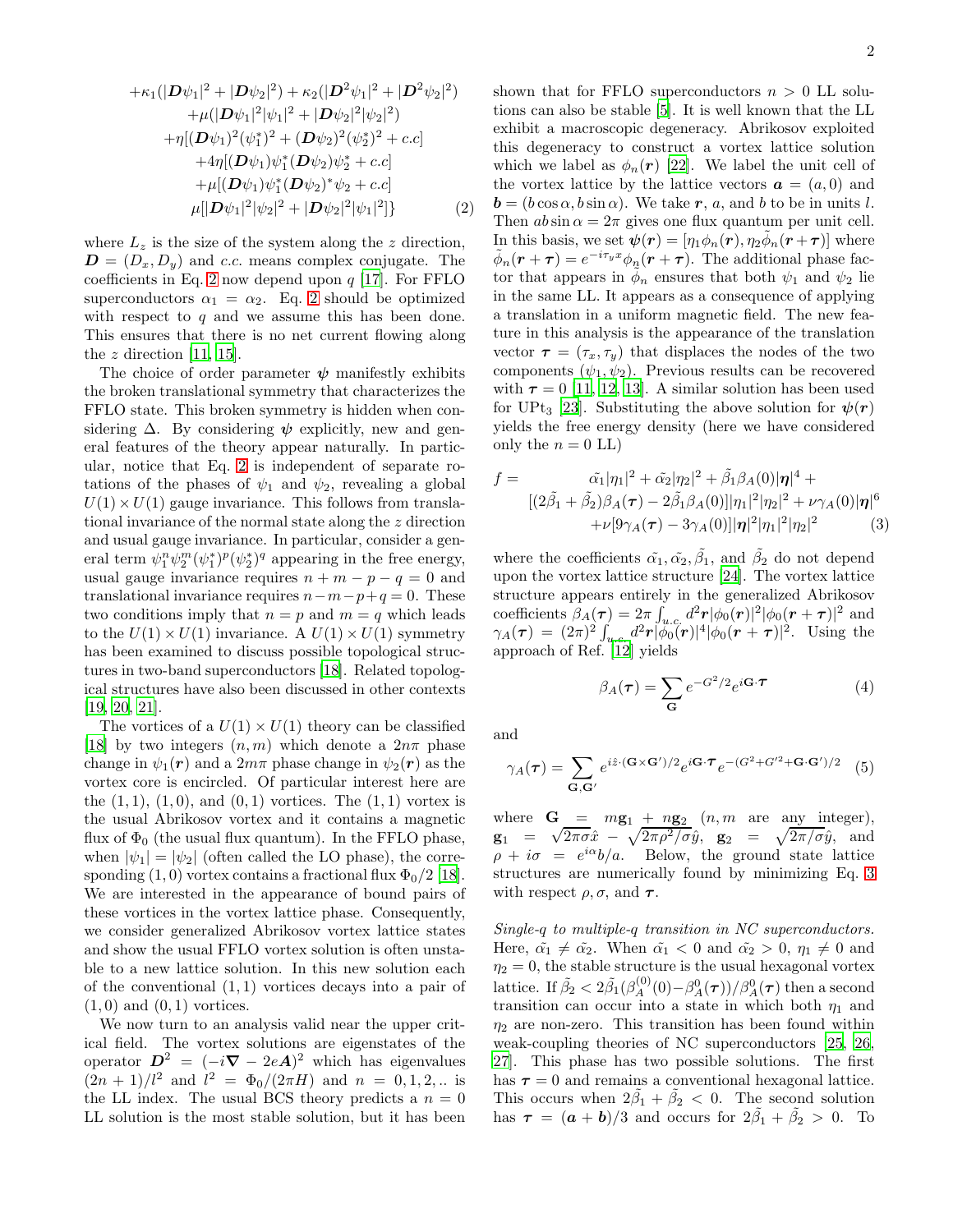+
$$
\kappa_1(|\mathbf{D}\psi_1|^2 + |\mathbf{D}\psi_2|^2) + \kappa_2(|\mathbf{D}^2\psi_1|^2 + |\mathbf{D}^2\psi_2|^2)
$$
  
+ $\mu(|\mathbf{D}\psi_1|^2|\psi_1|^2 + |\mathbf{D}\psi_2|^2|\psi_2|^2)$   
+ $\eta[(\mathbf{D}\psi_1)^2(\psi_1^*)^2 + (\mathbf{D}\psi_2)^2(\psi_2^*)^2 + c.c]$   
+ $4\eta[(\mathbf{D}\psi_1)\psi_1^*(\mathbf{D}\psi_2)\psi_2^* + c.c]$   
+ $\mu[(\mathbf{D}\psi_1)\psi_1^*(\mathbf{D}\psi_2)^*\psi_2 + c.c]$   
 $\mu[|\mathbf{D}\psi_1|^2|\psi_2|^2 + |\mathbf{D}\psi_2|^2|\psi_1|^2]$ } (2)

where  $L_z$  is the size of the system along the z direction,  $\mathbf{D} = (D_x, D_y)$  and c.c. means complex conjugate. The coefficients in Eq. [2](#page-0-1) now depend upon  $q$  [\[17](#page-3-16)]. For FFLO superconductors  $\alpha_1 = \alpha_2$ . Eq. [2](#page-0-1) should be optimized with respect to  $q$  and we assume this has been done. This ensures that there is no net current flowing along the  $z$  direction [\[11,](#page-3-10) [15\]](#page-3-14).

The choice of order parameter  $\psi$  manifestly exhibits the broken translational symmetry that characterizes the FFLO state. This broken symmetry is hidden when considering  $\Delta$ . By considering  $\psi$  explicitly, new and general features of the theory appear naturally. In particular, notice that Eq. [2](#page-0-1) is independent of separate rotations of the phases of  $\psi_1$  and  $\psi_2$ , revealing a global  $U(1) \times U(1)$  gauge invariance. This follows from translational invariance of the normal state along the z direction and usual gauge invariance. In particular, consider a general term  $\psi_1^n \psi_2^m (\psi_1^*)^p (\psi_2^*)^q$  appearing in the free energy, usual gauge invariance requires  $n + m - p - q = 0$  and translational invariance requires  $n-m-p+q=0$ . These two conditions imply that  $n = p$  and  $m = q$  which leads to the  $U(1) \times U(1)$  invariance. A  $U(1) \times U(1)$  symmetry has been examined to discuss possible topological structures in two-band superconductors [\[18\]](#page-3-17). Related topological structures have also been discussed in other contexts [\[19,](#page-3-18) [20,](#page-3-19) [21\]](#page-3-20).

The vortices of a  $U(1) \times U(1)$  theory can be classified [\[18\]](#page-3-17) by two integers  $(n, m)$  which denote a  $2n\pi$  phase change in  $\psi_1(\mathbf{r})$  and a  $2m\pi$  phase change in  $\psi_2(\mathbf{r})$  as the vortex core is encircled. Of particular interest here are the  $(1, 1)$ ,  $(1, 0)$ , and  $(0, 1)$  vortices. The  $(1, 1)$  vortex is the usual Abrikosov vortex and it contains a magnetic flux of  $\Phi_0$  (the usual flux quantum). In the FFLO phase, when  $|\psi_1| = |\psi_2|$  (often called the LO phase), the corresponding  $(1,0)$  vortex contains a fractional flux  $\Phi_0/2$  [\[18\]](#page-3-17). We are interested in the appearance of bound pairs of these vortices in the vortex lattice phase. Consequently, we consider generalized Abrikosov vortex lattice states and show the usual FFLO vortex solution is often unstable to a new lattice solution. In this new solution each of the conventional  $(1, 1)$  vortices decays into a pair of  $(1, 0)$  and  $(0, 1)$  vortices.

We now turn to an analysis valid near the upper critical field. The vortex solutions are eigenstates of the operator  $D^2 = (-i\nabla - 2eA)^2$  which has eigenvalues  $(2n + 1)/l^2$  and  $l^2 = \Phi_0/(2\pi H)$  and  $n = 0, 1, 2, ...$  is the LL index. The usual BCS theory predicts a  $n = 0$ LL solution is the most stable solution, but it has been

shown that for FFLO superconductors  $n > 0$  LL solutions can also be stable [\[5](#page-3-4)]. It is well known that the LL exhibit a macroscopic degeneracy. Abrikosov exploited this degeneracy to construct a vortex lattice solution which we label as  $\phi_n(r)$  [\[22\]](#page-3-21). We label the unit cell of the vortex lattice by the lattice vectors  $a = (a, 0)$  and  $\mathbf{b} = (b \cos \alpha, b \sin \alpha)$ . We take r, a, and b to be in units l. Then  $ab \sin \alpha = 2\pi$  gives one flux quantum per unit cell. In this basis, we set  $\psi(r) = [\eta_1 \phi_n(r), \eta_2 \tilde{\phi}_n(r+\tau)]$  where  $\tilde{\phi}_n(\mathbf{r}+\boldsymbol{\tau}) = e^{-i\tau_y x} \phi_n(\mathbf{r}+\boldsymbol{\tau}).$  The additional phase factor that appears in  $\tilde{\phi}_n$  ensures that both  $\psi_1$  and  $\psi_2$  lie in the same LL. It appears as a consequence of applying a translation in a uniform magnetic field. The new feature in this analysis is the appearance of the translation vector  $\boldsymbol{\tau} = (\tau_x, \tau_y)$  that displaces the nodes of the two components  $(\psi_1, \psi_2)$ . Previous results can be recovered with  $\tau = 0$  [\[11](#page-3-10), [12,](#page-3-11) [13\]](#page-3-12). A similar solution has been used for UPt<sub>3</sub> [\[23\]](#page-3-22). Substituting the above solution for  $\psi(r)$ yields the free energy density (here we have considered only the  $n = 0$  LL)

<span id="page-1-0"></span>
$$
f = \frac{\tilde{\alpha_1} |\eta_1|^2 + \tilde{\alpha_2} |\eta_2|^2 + \tilde{\beta_1} \beta_A(0)|\eta|^4 +}{[(2\tilde{\beta_1} + \tilde{\beta_2})\beta_A(\tau) - 2\tilde{\beta_1} \beta_A(0)]|\eta_1|^2 |\eta_2|^2 + \nu \gamma_A(0)|\eta|^6 + \nu[9\gamma_A(\tau) - 3\gamma_A(0)]|\eta|^2 |\eta_1|^2 |\eta_2|^2}
$$
(3)

where the coefficients  $\tilde{\alpha_1}, \tilde{\alpha_2}, \tilde{\beta_1}$ , and  $\tilde{\beta_2}$  do not depend upon the vortex lattice structure [\[24\]](#page-3-23). The vortex lattice structure appears entirely in the generalized Abrikosov coefficients  $\beta_A(\tau) = 2\pi \int_{u.c.} d^2r |\phi_0(r)|^2 |\phi_0(r+\tau)|^2$  and  $\gamma_A(\bm{\tau}) \, = \, (2\pi)^2 \int_{u.c.} d^2\bm{r} |\phi_0(\bm{r})|^4 |\phi_0(\bm{r}+\bm{\tau})|^2.$  Using the approach of Ref. [\[12\]](#page-3-11) yields

$$
\beta_A(\tau) = \sum_{\mathbf{G}} e^{-G^2/2} e^{i\mathbf{G}\cdot\boldsymbol{\tau}}
$$
 (4)

and

$$
\gamma_A(\tau) = \sum_{\mathbf{G}, \mathbf{G}'} e^{i\hat{z} \cdot (\mathbf{G} \times \mathbf{G}')/2} e^{i\mathbf{G} \cdot \boldsymbol{\tau}} e^{-(G^2 + G'^2 + \mathbf{G} \cdot \mathbf{G}')/2} \tag{5}
$$

where  $G = mg_1 + ng_2$   $(n, m$  are any integer),  $\mathbf{g}_1 = \sqrt{2\pi\sigma}\hat{x} - \sqrt{2\pi\rho^2/\sigma}\hat{y}$ ,  $\mathbf{g}_2 = \sqrt{2\pi/\sigma}\hat{y}$ , and  $\rho + i\sigma = e^{i\alpha}b/a$ . Below, the ground state lattice structures are numerically found by minimizing Eq. [3](#page-1-0) with respect  $\rho$ ,  $\sigma$ , and  $\tau$ .

Single-q to multiple-q transition in NC superconductors. Here,  $\tilde{\alpha_1} \neq \tilde{\alpha_2}$ . When  $\tilde{\alpha_1} < 0$  and  $\tilde{\alpha_2} > 0$ ,  $\eta_1 \neq 0$  and  $\eta_2 = 0$ , the stable structure is the usual hexagonal vortex lattice. If  $\tilde{\beta}_2 < 2\tilde{\beta}_1(\beta_A^{(0)}(0)-\beta_A^0(\tau))/\beta_A^0(\tau)$  then a second transition can occur into a state in which both  $\eta_1$  and  $\eta_2$  are non-zero. This transition has been found within weak-coupling theories of NC superconductors [\[25,](#page-3-24) [26](#page-3-25), [27](#page-3-26)]. This phase has two possible solutions. The first has  $\tau = 0$  and remains a conventional hexagonal lattice. This occurs when  $2\tilde{\beta}_1 + \tilde{\beta}_2 < 0$ . The second solution has  $\tau = (a + b)/3$  and occurs for  $2\tilde{\beta_1} + \tilde{\beta_2} > 0$ . To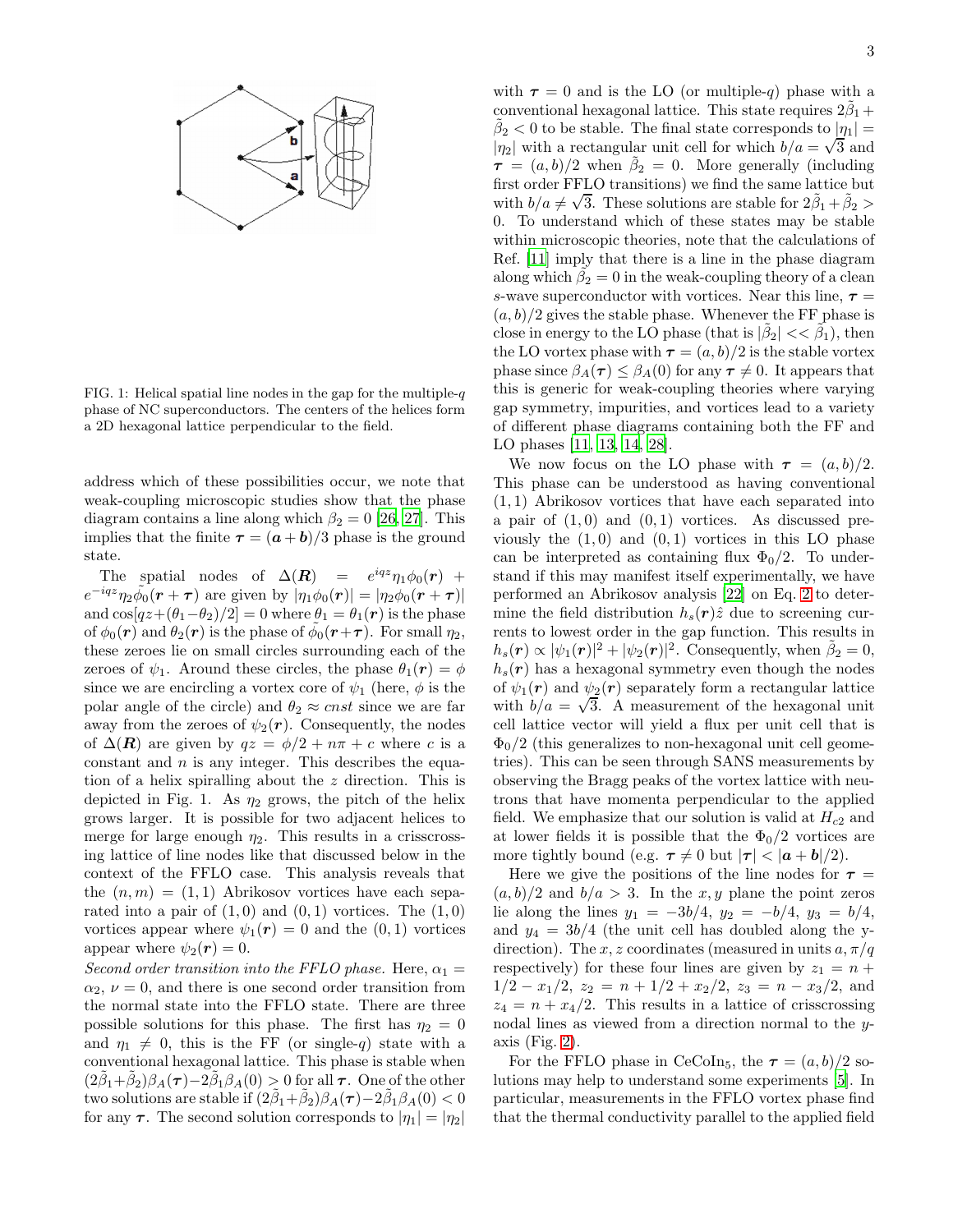

FIG. 1: Helical spatial line nodes in the gap for the multiple- $q$ phase of NC superconductors. The centers of the helices form a 2D hexagonal lattice perpendicular to the field.

address which of these possibilities occur, we note that weak-coupling microscopic studies show that the phase diagram contains a line along which  $\beta_2 = 0$  [\[26](#page-3-25), [27\]](#page-3-26). This implies that the finite  $\tau = (a + b)/3$  phase is the ground state.

The spatial nodes of  $\Delta(R)$  =  $e^{iqz}\eta_1\phi_0(r)$  +  $e^{-iqz}\eta_2\tilde{\phi_0}(\mathbf{r}+\boldsymbol{\tau})$  are given by  $|\eta_1\phi_0(\mathbf{r})|=|\eta_2\phi_0(\mathbf{r}+\boldsymbol{\tau})|$ and  $\cos[qz+(\theta_1-\theta_2)/2] = 0$  where  $\theta_1 = \theta_1(\mathbf{r})$  is the phase of  $\phi_0(\mathbf{r})$  and  $\theta_2(\mathbf{r})$  is the phase of  $\tilde{\phi}_0(\mathbf{r}+\mathbf{r})$ . For small  $\eta_2$ , these zeroes lie on small circles surrounding each of the zeroes of  $\psi_1$ . Around these circles, the phase  $\theta_1(\mathbf{r}) = \phi$ since we are encircling a vortex core of  $\psi_1$  (here,  $\phi$  is the polar angle of the circle) and  $\theta_2 \approx \text{cnst}$  since we are far away from the zeroes of  $\psi_2(\mathbf{r})$ . Consequently, the nodes of  $\Delta(R)$  are given by  $qz = \phi/2 + n\pi + c$  where c is a constant and  $n$  is any integer. This describes the equation of a helix spiralling about the z direction. This is depicted in Fig. 1. As  $\eta_2$  grows, the pitch of the helix grows larger. It is possible for two adjacent helices to merge for large enough  $\eta_2$ . This results in a crisscrossing lattice of line nodes like that discussed below in the context of the FFLO case. This analysis reveals that the  $(n, m) = (1, 1)$  Abrikosov vortices have each separated into a pair of  $(1,0)$  and  $(0,1)$  vortices. The  $(1,0)$ vortices appear where  $\psi_1(\mathbf{r}) = 0$  and the  $(0, 1)$  vortices appear where  $\psi_2(\mathbf{r})=0$ .

Second order transition into the FFLO phase. Here,  $\alpha_1 =$  $\alpha_2, \nu = 0$ , and there is one second order transition from the normal state into the FFLO state. There are three possible solutions for this phase. The first has  $\eta_2 = 0$ and  $\eta_1 \neq 0$ , this is the FF (or single-q) state with a conventional hexagonal lattice. This phase is stable when  $(2\tilde{\beta}_1+\tilde{\beta}_2)\beta_A(\tau)-2\tilde{\beta}_1\beta_A(0)>0 \text{ for all }\tau.$  One of the other two solutions are stable if  $(2\tilde{\beta}_1 + \tilde{\beta}_2)\beta_A(\tau) - 2\tilde{\beta}_1\beta_A(0) < 0$ for any  $\tau$ . The second solution corresponds to  $|\eta_1| = |\eta_2|$ 

with  $\tau = 0$  and is the LO (or multiple-q) phase with a conventional hexagonal lattice. This state requires  $2\tilde{\beta}_1 +$  $\tilde{\beta}_2 < 0$  to be stable. The final state corresponds to  $|\eta_1| =$  $|\eta_2|$  with a rectangular unit cell for which  $b/a = \sqrt{3}$  and  $\tau = (a, b)/2$  when  $\tilde{\beta}_2 = 0$ . More generally (including first order FFLO transitions) we find the same lattice but with  $b/a \neq \sqrt{3}$ . These solutions are stable for  $2\tilde{\beta}_1 + \tilde{\beta}_2 >$ 0. To understand which of these states may be stable within microscopic theories, note that the calculations of Ref. [\[11\]](#page-3-10) imply that there is a line in the phase diagram along which  $\tilde{\beta}_2 = 0$  in the weak-coupling theory of a clean s-wave superconductor with vortices. Near this line,  $\tau =$  $(a, b)/2$  gives the stable phase. Whenever the FF phase is close in energy to the LO phase (that is  $|\tilde{\beta}_2| << \tilde{\beta}_1$ ), then the LO vortex phase with  $\tau = (a, b)/2$  is the stable vortex phase since  $\beta_A(\tau) \leq \beta_A(0)$  for any  $\tau \neq 0$ . It appears that this is generic for weak-coupling theories where varying gap symmetry, impurities, and vortices lead to a variety of different phase diagrams containing both the FF and LO phases [\[11,](#page-3-10) [13,](#page-3-12) [14,](#page-3-13) [28\]](#page-3-27).

We now focus on the LO phase with  $\tau = (a, b)/2$ . This phase can be understood as having conventional (1, 1) Abrikosov vortices that have each separated into a pair of  $(1,0)$  and  $(0,1)$  vortices. As discussed previously the  $(1,0)$  and  $(0,1)$  vortices in this LO phase can be interpreted as containing flux  $\Phi_0/2$ . To understand if this may manifest itself experimentally, we have performed an Abrikosov analysis [\[22\]](#page-3-21) on Eq. [2](#page-0-1) to determine the field distribution  $h_s(\mathbf{r})\hat{z}$  due to screening currents to lowest order in the gap function. This results in  $h_s(\mathbf{r}) \propto |\psi_1(\mathbf{r})|^2 + |\psi_2(\mathbf{r})|^2$ . Consequently, when  $\tilde{\beta}_2 = 0$ ,  $h_s(r)$  has a hexagonal symmetry even though the nodes of  $\psi_1(\mathbf{r})$  and  $\psi_2(\mathbf{r})$  separately form a rectangular lattice with  $b/a = \sqrt{3}$ . A measurement of the hexagonal unit cell lattice vector will yield a flux per unit cell that is  $\Phi_0/2$  (this generalizes to non-hexagonal unit cell geometries). This can be seen through SANS measurements by observing the Bragg peaks of the vortex lattice with neutrons that have momenta perpendicular to the applied field. We emphasize that our solution is valid at  $H_{c2}$  and at lower fields it is possible that the  $\Phi_0/2$  vortices are more tightly bound (e.g.  $\tau \neq 0$  but  $|\tau| < |\boldsymbol{a} + \boldsymbol{b}|/2$ ).

Here we give the positions of the line nodes for  $\tau =$  $(a, b)/2$  and  $b/a > 3$ . In the x, y plane the point zeros lie along the lines  $y_1 = -3b/4$ ,  $y_2 = -b/4$ ,  $y_3 = b/4$ , and  $y_4 = 3b/4$  (the unit cell has doubled along the ydirection). The x, z coordinates (measured in units  $a, \pi/q$ respectively) for these four lines are given by  $z_1 = n +$  $1/2 - x_1/2$ ,  $z_2 = n + 1/2 + x_2/2$ ,  $z_3 = n - x_3/2$ , and  $z_4 = n + x_4/2$ . This results in a lattice of crisscrossing nodal lines as viewed from a direction normal to the yaxis (Fig. [2\)](#page-3-28).

For the FFLO phase in CeCoIn<sub>5</sub>, the  $\tau = (a, b)/2$  solutions may help to understand some experiments [\[5](#page-3-4)]. In particular, measurements in the FFLO vortex phase find that the thermal conductivity parallel to the applied field